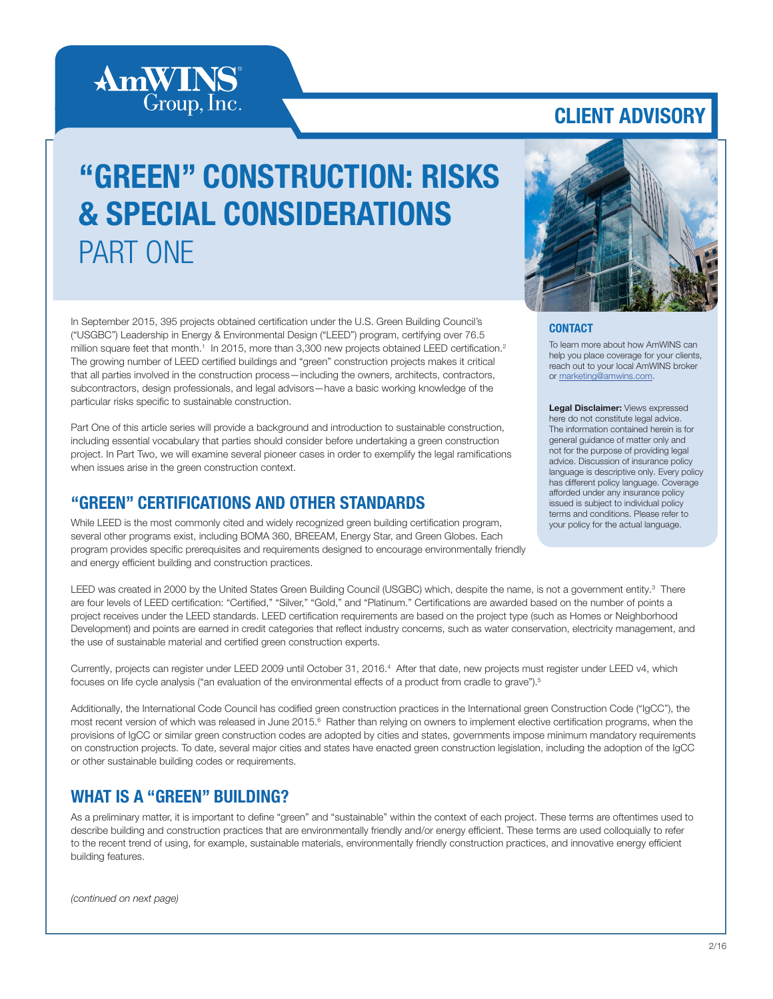# **AmWINS**<sup>®</sup> Group, Inc.

## CLIENT ADVISORY

# "GREEN" CONSTRUCTION: RISKS & SPECIAL CONSIDERATIONS PART ONE

In September 2015, 395 projects obtained certification under the U.S. Green Building Council's ("USGBC") Leadership in Energy & Environmental Design ("LEED") program, certifying over 76.5 million square feet that month.<sup>1</sup> In 2015, more than 3,300 new projects obtained LEED certification.<sup>2</sup> The growing number of LEED certified buildings and "green" construction projects makes it critical that all parties involved in the construction process—including the owners, architects, contractors, subcontractors, design professionals, and legal advisors—have a basic working knowledge of the particular risks specific to sustainable construction.

Part One of this article series will provide a background and introduction to sustainable construction, including essential vocabulary that parties should consider before undertaking a green construction project. In Part Two, we will examine several pioneer cases in order to exemplify the legal ramifications when issues arise in the green construction context.

#### "GREEN" CERTIFICATIONS AND OTHER STANDARDS

While LEED is the most commonly cited and widely recognized green building certification program, several other programs exist, including BOMA 360, BREEAM, Energy Star, and Green Globes. Each program provides specific prerequisites and requirements designed to encourage environmentally friendly and energy efficient building and construction practices.



#### **CONTACT**

To learn more about how AmWINS can help you place coverage for your clients, reach out to your local AmWINS broker or marketing@amwins.com.

Legal Disclaimer: Views expressed here do not constitute legal advice. The information contained herein is for general guidance of matter only and not for the purpose of providing legal advice. Discussion of insurance policy language is descriptive only. Every policy has different policy language. Coverage afforded under any insurance policy issued is subject to individual policy terms and conditions. Please refer to your policy for the actual language.

LEED was created in 2000 by the United States Green Building Council (USGBC) which, despite the name, is not a government entity.<sup>3</sup> There are four levels of LEED certification: "Certified," "Silver," "Gold," and "Platinum." Certifications are awarded based on the number of points a project receives under the LEED standards. LEED certification requirements are based on the project type (such as Homes or Neighborhood Development) and points are earned in credit categories that reflect industry concerns, such as water conservation, electricity management, and the use of sustainable material and certified green construction experts.

Currently, projects can register under LEED 2009 until October 31, 2016.<sup>4</sup> After that date, new projects must register under LEED v4, which focuses on life cycle analysis ("an evaluation of the environmental effects of a product from cradle to grave").<sup>5</sup>

Additionally, the International Code Council has codified green construction practices in the International green Construction Code ("IgCC"), the most recent version of which was released in June 2015.<sup>6</sup> Rather than relying on owners to implement elective certification programs, when the provisions of IgCC or similar green construction codes are adopted by cities and states, governments impose minimum mandatory requirements on construction projects. To date, several major cities and states have enacted green construction legislation, including the adoption of the IgCC or other sustainable building codes or requirements.

#### WHAT IS A "GREEN" BUILDING?

As a preliminary matter, it is important to define "green" and "sustainable" within the context of each project. These terms are oftentimes used to describe building and construction practices that are environmentally friendly and/or energy efficient. These terms are used colloquially to refer to the recent trend of using, for example, sustainable materials, environmentally friendly construction practices, and innovative energy efficient building features.

*(continued on next page)*